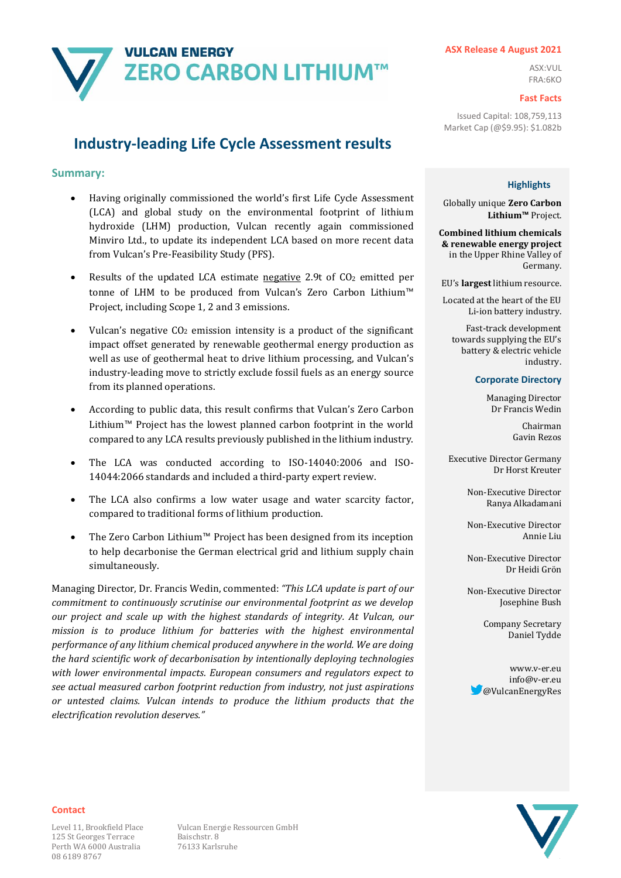

#### **ASX Release 4 August 2021**

ASX:VUL FRA:6KO

#### **Fast Facts**

Issued Capital: 108,759,113 Market Cap (@\$9.95): \$1.082b

### **Industry-leading Life Cycle Assessment results**

### **Summary:**

- Having originally commissioned the world's first Life Cycle Assessment (LCA) and global study on the environmental footprint of lithium hydroxide (LHM) production, Vulcan recently again commissioned Minviro Ltd., to update its independent LCA based on more recent data from Vulcan's Pre-Feasibility Study (PFS).
- Results of the updated LCA estimate negative 2.9t of CO<sub>2</sub> emitted per tonne of LHM to be produced from Vulcan's Zero Carbon Lithium™ Project, including Scope 1, 2 and 3 emissions.
- Vulcan's negative  $CO<sub>2</sub>$  emission intensity is a product of the significant impact offset generated by renewable geothermal energy production as well as use of geothermal heat to drive lithium processing, and Vulcan's industry-leading move to strictly exclude fossil fuels as an energy source from its planned operations.
- According to public data, this result confirms that Vulcan's Zero Carbon Lithium™ Project has the lowest planned carbon footprint in the world compared to any LCA results previously published in the lithium industry.
- The LCA was conducted according to ISO-14040:2006 and ISO-14044:2066 standards and included a third-party expert review.
- The LCA also confirms a low water usage and water scarcity factor, compared to traditional forms of lithium production.
- The Zero Carbon Lithium™ Project has been designed from its inception to help decarbonise the German electrical grid and lithium supply chain simultaneously.

Managing Director, Dr. Francis Wedin, commented: *"This LCA update is part of our commitment to continuously scrutinise our environmental footprint as we develop our project and scale up with the highest standards of integrity. At Vulcan, our mission is to produce lithium for batteries with the highest environmental performance of any lithium chemical produced anywhere in the world. We are doing the hard scientific work of decarbonisation by intentionally deploying technologies with lower environmental impacts. European consumers and regulators expect to see actual measured carbon footprint reduction from industry, not just aspirations or untested claims. Vulcan intends to produce the lithium products that the electrification revolution deserves."* 

#### **Highlights**

Globally unique **Zero Carbon Lithium™** Project.

**Combined lithium chemicals & renewable energy project** in the Upper Rhine Valley of Germany.

EU's **largest** lithium resource.

Located at the heart of the EU Li-ion battery industry.

Fast-track development towards supplying the EU's battery & electric vehicle industry.

#### **Corporate Directory**

Managing Director Dr Francis Wedin

> Chairman Gavin Rezos

Executive Director Germany Dr Horst Kreuter

> Non-Executive Director Ranya Alkadamani

> Non-Executive Director Annie Liu

> Non-Executive Director Dr Heidi Grön

> Non-Executive Director Josephine Bush

> > Company Secretary Daniel Tydde

www.v-er.eu info@v-er.eu @VulcanEnergyRes



#### **Contact**

125 St Georges Terrace Baischstr. 8 Perth WA 6000 Australia 76133 Karlsruhe 08 6189 8767

Level 11, Brookfield Place Vulcan Energie Ressourcen GmbH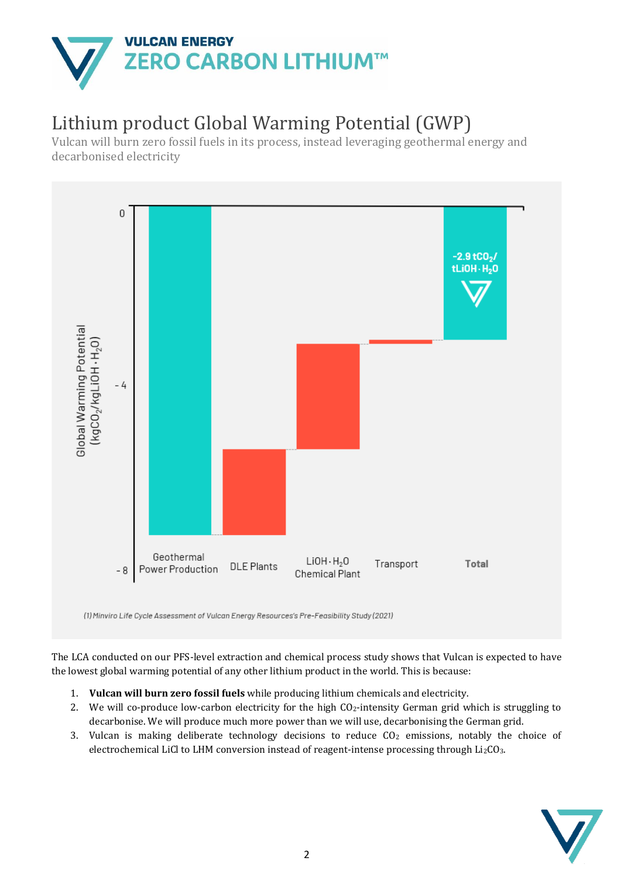

# Lithium product Global Warming Potential (GWP)

Vulcan will burn zero fossil fuels in its process, instead leveraging geothermal energy and decarbonised electricity



(1) Minviro Life Cycle Assessment of Vulcan Energy Resources's Pre-Feasibility Study (2021)

The LCA conducted on our PFS-level extraction and chemical process study shows that Vulcan is expected to have the lowest global warming potential of any other lithium product in the world. This is because:

- 1. **Vulcan will burn zero fossil fuels** while producing lithium chemicals and electricity.
- 2. We will co-produce low-carbon electricity for the high  $CO<sub>2</sub>$ -intensity German grid which is struggling to decarbonise. We will produce much more power than we will use, decarbonising the German grid. For all the producing lithium chemicals and electricity.<br>
2. We will co-produce low-carbon electricity for the high CO<sub>2</sub>-intensity German grid which is a decarbonise. We will produce much more power than we will use, dec
	- 3. Vulcan is making deliberate technology decisions to reduce  $CO<sub>2</sub>$  emissions, notably the choice of

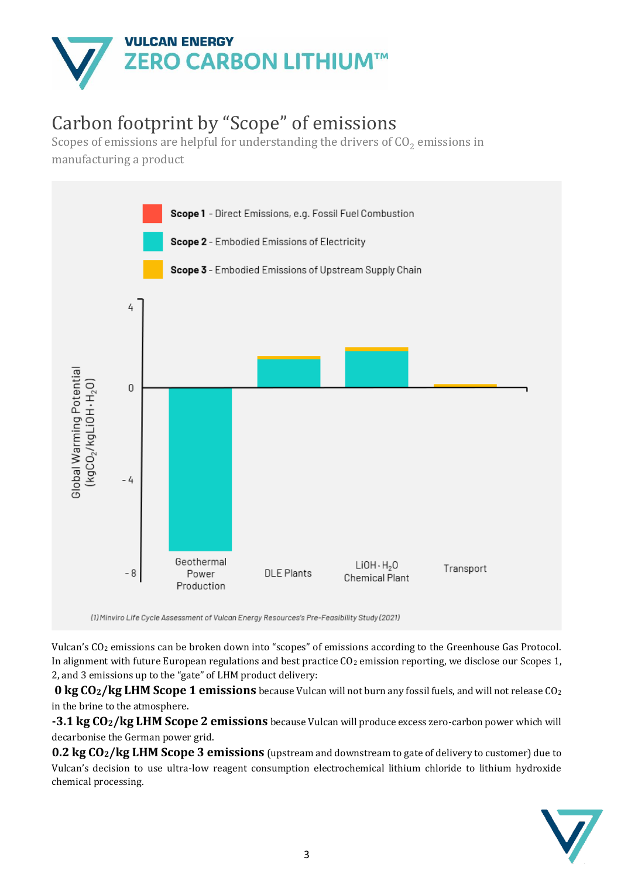

# Carbon footprint by "Scope" of emissions

Scopes of emissions are helpful for understanding the drivers of  $\mathrm{CO}_2$  emissions in manufacturing a product



(1) Minviro Life Cycle Assessment of Vulcan Energy Resources's Pre-Feasibility Study (2021)

Vulcan's CO<sup>2</sup> emissions can be broken down into "scopes" of emissions according to the Greenhouse Gas Protocol. In alignment with future European regulations and best practice  $CO<sub>2</sub>$  emission reporting, we disclose our Scopes 1, 2, and 3 emissions up to the "gate" of LHM product delivery:

**0 kg CO2/kg LHM Scope 1 emissions** because Vulcan will not burn any fossil fuels, and will not release CO<sup>2</sup> in the brine to the atmosphere.

**-3.1 kg CO2/kg LHM Scope 2 emissions** because Vulcan will produce excess zero-carbon power which will decarbonise the German power grid.

**0.2 kg CO2/kg LHM Scope 3 emissions** (upstream and downstream to gate of delivery to customer) due to Vulcan's decision to use ultra-low reagent consumption electrochemical lithium chloride to lithium hydroxide **0 kg CO<sub>2</sub>/kg LHI**<br>in the brine to the ati<br>-3.1 kg CO<sub>2</sub>/kg L<br>decarbonise the Gerr<br>**0.2 kg CO<sub>2</sub>/kg LF**<br>Vulcan's decision to<br>chemical processing.

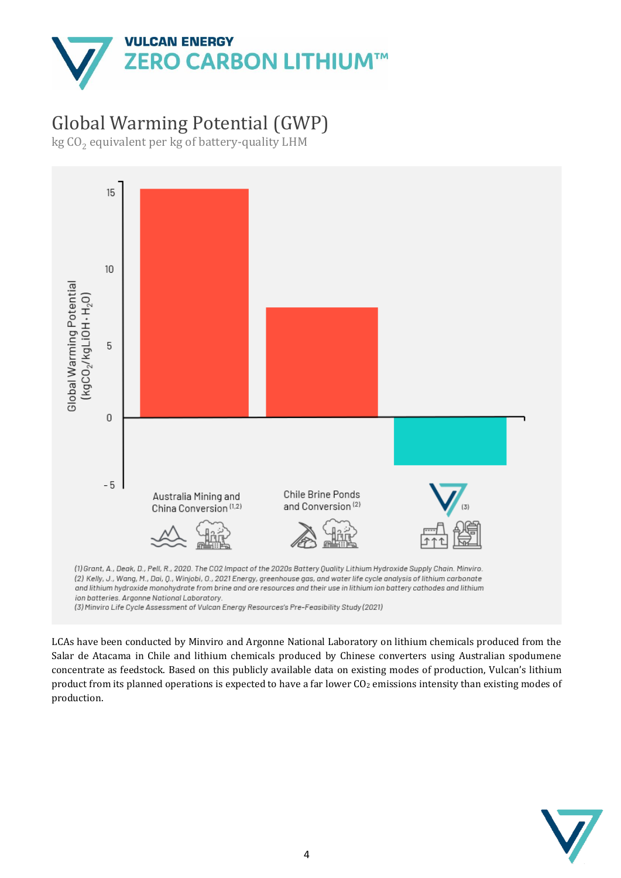

# Global Warming Potential (GWP)

kg CO $_{\rm 2}$  equivalent per kg of battery-quality LHM



LCAs have been conducted by Minviro and Argonne National Laboratory on lithium chemicals produced from the Salar de Atacama in Chile and lithium chemicals produced by Chinese converters using Australian spodumene concentrate as feedstock. Based on this publicly available data on existing modes of production, Vulcan's lithium product from its planned operations is expected to have a far lower CO<sup>2</sup> emissions intensity than existing modes of production.<br>production.

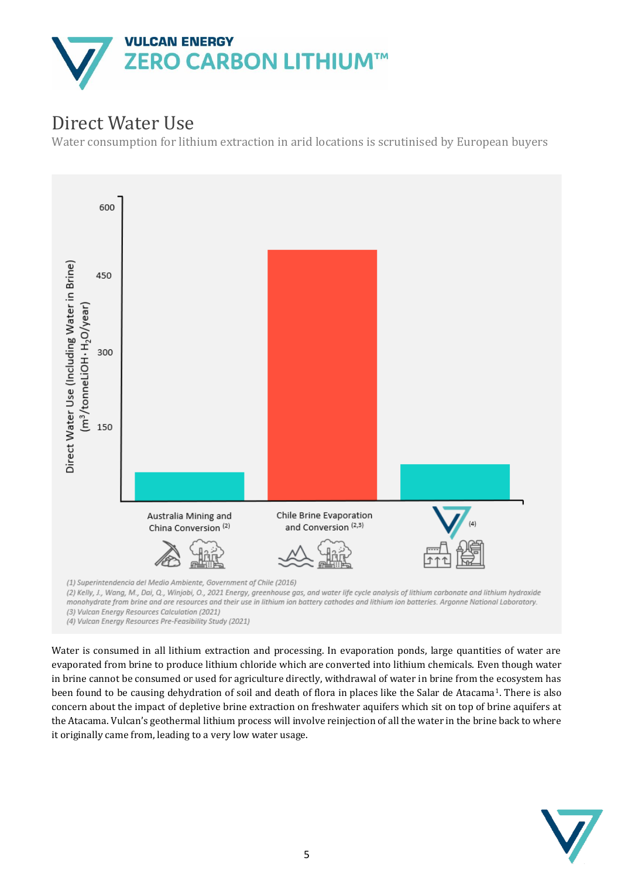

# Direct Water Use

Water consumption for lithium extraction in arid locations is scrutinised by European buyers



monohydrate from brine and ore resources and their use in lithium ion battery cathodes and lithium ion batteries. Argonne National Laboratory. (3) Vulcan Energy Resources Calculation (2021)

(4) Vulcan Energy Resources Pre-Feasibility Study (2021)

Water is consumed in all lithium extraction and processing. In evaporation ponds, large quantities of water are evaporated from brine to produce lithium chloride which are converted into lithium chemicals. Even though water in brine cannot be consumed or used for agriculture directly, withdrawal of water in brine from the ecosystem has been found to be causing dehydration of soil and death of flora in places like the Salar de Atacama<sup>1</sup>. There is also concern about the impact of depletive brine extraction on freshwater aquifers which sit on top of brine aquifers at the Atacama. Vulcan's geothermal lithium process will involve reinjection of all the water in the brine back to where been found to be causing dehydration of soil and death o<br>concern about the impact of depletive brine extraction on<br>the Atacama. Vulcan's geothermal lithium process will inve<br>it originally came from, leading to a very low w

![](_page_4_Picture_7.jpeg)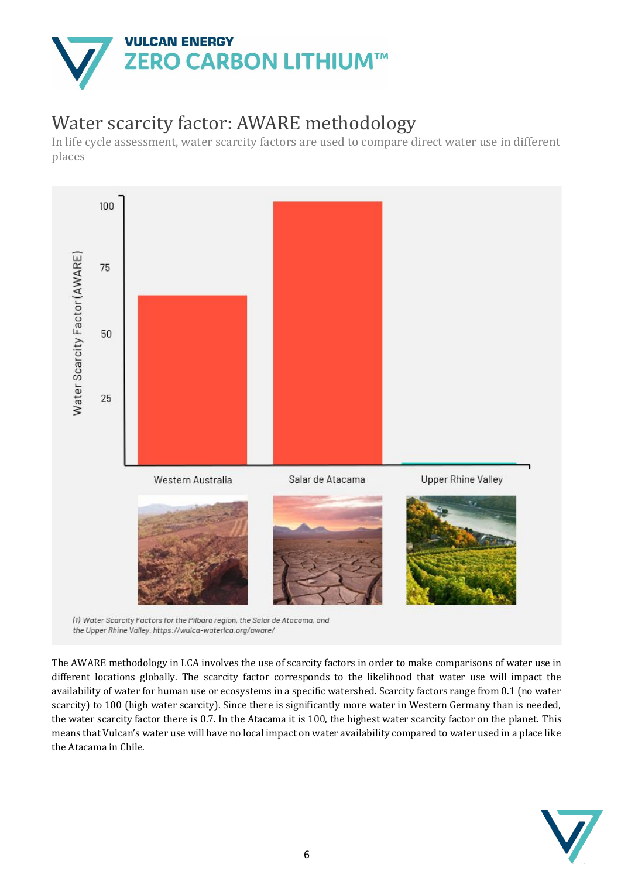![](_page_5_Picture_0.jpeg)

## Water scarcity factor: AWARE methodology

In life cycle assessment, water scarcity factors are used to compare direct water use in different places

![](_page_5_Figure_3.jpeg)

the Upper Rhine Valley. https://wulca-waterlca.org/aware/

The AWARE methodology in LCA involves the use of scarcity factors in order to make comparisons of water use in different locations globally. The scarcity factor corresponds to the likelihood that water use will impact the availability of water for human use or ecosystems in a specific watershed. Scarcity factors range from 0.1 (no water scarcity) to 100 (high water scarcity). Since there is significantly more water in Western Germany than is needed, the water scarcity factor there is 0.7. In the Atacama it is 100, the highest water scarcity factor on the planet. This means that Vulcan's water use will have no local impact on water availability compared to water used in a place like availability of water f<br>scarcity) to 100 (high<br>the water scarcity fa<br>means that Vulcan's v<br>the Atacama in Chile.

![](_page_5_Picture_6.jpeg)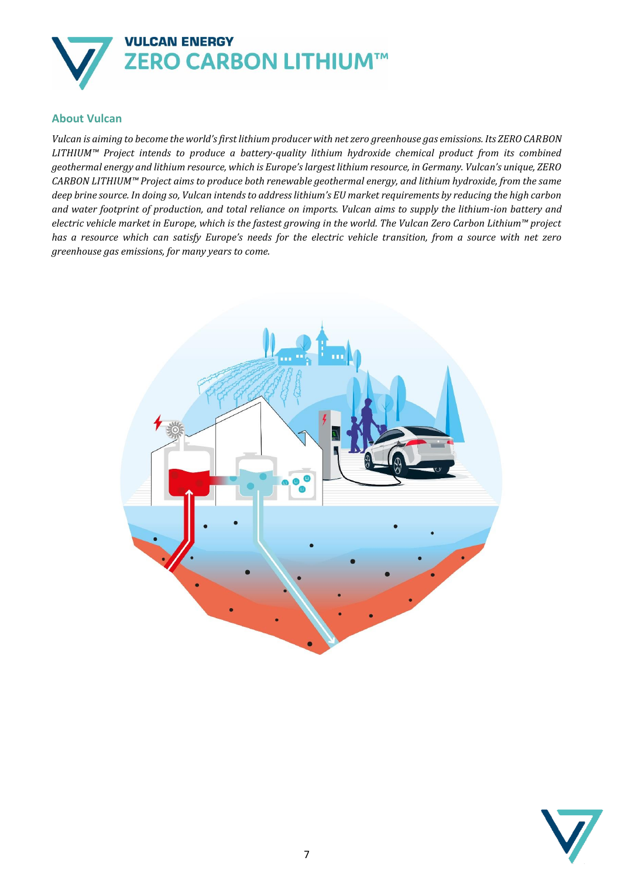![](_page_6_Picture_0.jpeg)

### **About Vulcan**

*Vulcan is aiming to become the world's first lithium producer with net zero greenhouse gas emissions. Its ZERO CARBON LITHIUM™ Project intends to produce a battery-quality lithium hydroxide chemical product from its combined geothermal energy and lithium resource, which is Europe's largest lithium resource, in Germany. Vulcan's unique, ZERO CARBON LITHIUM™ Project aims to produce both renewable geothermal energy, and lithium hydroxide, from the same deep brine source. In doing so, Vulcan intends to address lithium's EU market requirements by reducing the high carbon and water footprint of production, and total reliance on imports. Vulcan aims to supply the lithium-ion battery and electric vehicle market in Europe, which is the fastest growing in the world. The Vulcan Zero Carbon Lithium™ project has a resource which can satisfy Europe's needs for the electric vehicle transition, from a source with net zero greenhouse gas emissions, for many years to come.*

![](_page_6_Picture_3.jpeg)

![](_page_6_Picture_4.jpeg)